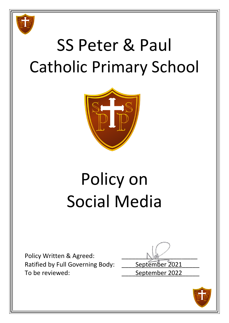

# SS Peter & Paul Catholic Primary School



# Policy on Social Media

Policy Written & Agreed: Ratified by Full Governing Body: \_\_\_\_\_ September 2021 To be reviewed: To be reviewed:

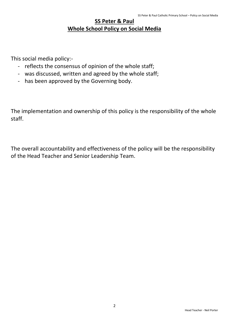## **SS Peter & Paul Whole School Policy on Social Media**

This social media policy:-

- reflects the consensus of opinion of the whole staff;
- was discussed, written and agreed by the whole staff;
- has been approved by the Governing body.

The implementation and ownership of this policy is the responsibility of the whole staff.

The overall accountability and effectiveness of the policy will be the responsibility of the Head Teacher and Senior Leadership Team.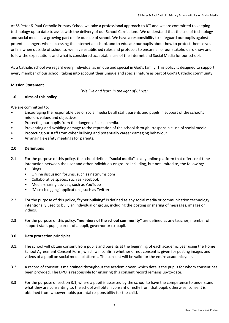At SS Peter & Paul Catholic Primary School we take a professional approach to ICT and we are committed to keeping technology up to date to assist with the delivery of our School Curriculum. We understand that the use of technology and social media is a growing part of life outside of school. We have a responsibility to safeguard our pupils against potential dangers when accessing the internet at school, and to educate our pupils about how to protect themselves online when outside of school so we have established rules and protocols to ensure all of our stakeholders know and follow the expectations and what is considered acceptable use of the internet and Social Media for our school.

As a Catholic school we regard every individual as unique and special in God's family. This policy is designed to support every member of our school, taking into account their unique and special nature as part of God's Catholic community.

## **Mission Statement**

'*We live and learn in the light of Christ.'*

## **1.0 Aims of this policy**

We are committed to:

- Encouraging the responsible use of social media by all staff, parents and pupils in support of the school's mission, values and objectives.
- Protecting our pupils from the dangers of social media.
- Preventing and avoiding damage to the reputation of the school through irresponsible use of social media.
- Protecting our staff from cyber bullying and potentially career damaging behaviour.
- Arranging e-safety meetings for parents.

## **2.0 Definitions**

- 2.1 For the purpose of this policy, the school defines **"social media"** as any online platform that offers real-time interaction between the user and other individuals or groups including, but not limited to, the following:
	- Blogs
	- Online discussion forums, such as netmums.com
	- Collaborative spaces, such as Facebook
	- Media-sharing devices, such as YouTube
	- 'Micro-blogging' applications, such as Twitter
- 2.2 For the purpose of this policy, **"cyber bullying"** is defined as any social media or communication technology intentionally used to bully an individual or group, including the posting or sharing of messages, images or videos.
- 2.3 For the purpose of this policy, **"members of the school community"** are defined as any teacher, member of support staff, pupil, parent of a pupil, governor or ex-pupil.

## **3.0 Data protection principles**

- 3.1. The school will obtain consent from pupils and parents at the beginning of each academic year using the Home School Agreement Consent Form, which will confirm whether or not consent is given for posting images and videos of a pupil on social media platforms. The consent will be valid for the entire academic year.
- 3.2 A record of consent is maintained throughout the academic year, which details the pupils for whom consent has been provided. The DPO is responsible for ensuring this consent record remains up-to-date.
- 3.3 For the purpose of section 3.1, where a pupil is assessed by the school to have the competence to understand what they are consenting to, the school will obtain consent directly from that pupil; otherwise, consent is obtained from whoever holds parental responsibility for the child.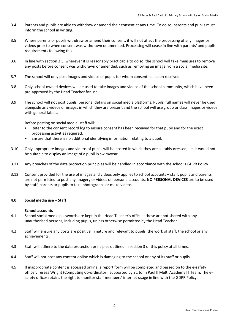- 3.4 Parents and pupils are able to withdraw or amend their consent at any time. To do so, parents and pupils must inform the school in writing.
- 3.5 Where parents or pupils withdraw or amend their consent, it will not affect the processing of any images or videos prior to when consent was withdrawn or amended. Processing will cease in line with parents' and pupils' requirements following this.
- 3.6 In line with section 3.5, wherever it is reasonably practicable to do so, the school will take measures to remove any posts before consent was withdrawn or amended, such as removing an image from a social media site.
- 3.7 The school will only post images and videos of pupils for whom consent has been received.
- 3.8 Only school-owned devices will be used to take images and videos of the school community, which have been pre-approved by the Head Teacher for use.
- 3.9 The school will not post pupils' personal details on social media platforms. Pupils' full names will never be used alongside any videos or images in which they are present and the school will use group or class images or videos with general labels.

Before posting on social media, staff will:

- Refer to the consent record log to ensure consent has been received for that pupil and for the exact processing activities required.
- Ensure that there is no additional identifying information relating to a pupil.
- 3.10 Only appropriate images and videos of pupils will be posted in which they are suitably dressed, i.e. it would not be suitable to display an image of a pupil in swimwear.
- 3.11 Any breaches of the data protection principles will be handled in accordance with the school's GDPR Policy.
- 3.12 Consent provided for the use of images and videos only applies to school accounts staff, pupils and parents are not permitted to post any imagery or videos on personal accounts. **NO PERSONAL DEVICES** are to be used by staff, parents or pupils to take photographs or make videos.

#### **4.0 Social media use – Staff**

#### **School accounts**

- 4.1 School social media passwords are kept in the Head Teacher's office these are not shared with any unauthorised persons, including pupils, unless otherwise permitted by the Head Teacher.
- 4.2 Staff will ensure any posts are positive in nature and relevant to pupils, the work of staff, the school or any achievements.
- 4.3 Staff will adhere to the data protection principles outlined in section 3 of this policy at all times.
- 4.4 Staff will not post any content online which is damaging to the school or any of its staff or pupils.
- 4.5 If inappropriate content is accessed online, a report form will be completed and passed on to the e-safety officer, Teresa Wright (Computing Co-ordinator), supported by St. John Paul II Multi Academy IT Team. The esafety officer retains the right to monitor staff members' internet usage in line with the GDPR Policy.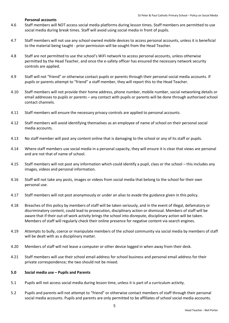#### **Personal accounts**

- 4.6 Staff members will NOT access social media platforms during lesson times. Staff members are permitted to use social media during break times. Staff will avoid using social media in front of pupils.
- 4.7 Staff members will not use any school-owned mobile devices to access personal accounts, unless it is beneficial to the material being taught - prior permission will be sought from the Head Teacher.
- 4.8 Staff are not permitted to use the school's WiFi network to access personal accounts, unless otherwise permitted by the Head Teacher, and once the e-safety officer has ensured the necessary network security controls are applied.
- 4.9 Staff will not "friend" or otherwise contact pupils or parents through their personal social media accounts. If pupils or parents attempt to "friend" a staff member, they will report this to the Head Teacher.
- 4.10 Staff members will not provide their home address, phone number, mobile number, social networking details or email addresses to pupils or parents – any contact with pupils or parents will be done through authorised school contact channels.
- 4.11 Staff members will ensure the necessary privacy controls are applied to personal accounts.
- 4.12 Staff members will avoid identifying themselves as an employee of name of school on their personal social media accounts.
- 4.13 No staff member will post any content online that is damaging to the school or any of its staff or pupils.
- 4.14 Where staff members use social media in a personal capacity, they will ensure it is clear that views are personal and are not that of name of school.
- 4.15 Staff members will not post any information which could identify a pupil, class or the school this includes any images, videos and personal information.
- 4.16 Staff will not take any posts, images or videos from social media that belong to the school for their own personal use.
- 4.17 Staff members will not post anonymously or under an alias to evade the guidance given in this policy.
- 4.18 Breaches of this policy by members of staff will be taken seriously, and in the event of illegal, defamatory or discriminatory content, could lead to prosecution, disciplinary action or dismissal. Members of staff will be aware that if their out-of-work activity brings the school into disrepute, disciplinary action will be taken. Members of staff will regularly check their online presence for negative content via search engines.
- 4.19 Attempts to bully, coerce or manipulate members of the school community via social media by members of staff will be dealt with as a disciplinary matter.
- 4.20 Members of staff will not leave a computer or other device logged in when away from their desk.
- 4.21 Staff members will use their school email address for school business and personal email address for their private correspondence; the two should not be mixed.

#### **5.0 Social media use – Pupils and Parents**

- 5.1 Pupils will not access social media during lesson time, unless it is part of a curriculum activity.
- 5.2 Pupils and parents will not attempt to "friend" or otherwise contact members of staff through their personal social media accounts. Pupils and parents are only permitted to be affiliates of school social media accounts.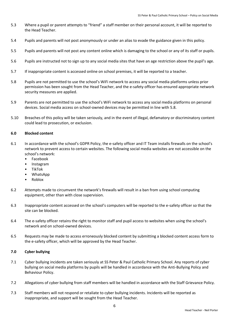- 5.3 Where a pupil or parent attempts to "friend" a staff member on their personal account, it will be reported to the Head Teacher.
- 5.4 Pupils and parents will not post anonymously or under an alias to evade the guidance given in this policy.
- 5.5 Pupils and parents will not post any content online which is damaging to the school or any of its staff or pupils.
- 5.6 Pupils are instructed not to sign up to any social media sites that have an age restriction above the pupil's age.
- 5.7 If inappropriate content is accessed online on school premises, it will be reported to a teacher.
- 5.8 Pupils are not permitted to use the school's WiFi network to access any social media platforms unless prior permission has been sought from the Head Teacher, and the e-safety officer has ensured appropriate network security measures are applied.
- 5.9 Parents are not permitted to use the school's WiFi network to access any social media platforms on personal devices. Social media access on school-owned devices may be permitted in line with 5.8.
- 5.10 Breaches of this policy will be taken seriously, and in the event of illegal, defamatory or discriminatory content could lead to prosecution, or exclusion.

#### **6.0 Blocked content**

- 6.1 In accordance with the school's GDPR Policy, the e-safety officer and IT Team installs firewalls on the school's network to prevent access to certain websites. The following social media websites are not accessible on the school's network:
	- Facebook
	- Instagram
	- TikTok
	- WhatsApp
	- Roblox
- 6.2 Attempts made to circumvent the network's firewalls will result in a ban from using school computing equipment, other than with close supervision.
- 6.3 Inappropriate content accessed on the school's computers will be reported to the e-safety officer so that the site can be blocked.
- 6.4 The e-safety officer retains the right to monitor staff and pupil access to websites when using the school's network and on school-owned devices.
- 6.5 Requests may be made to access erroneously blocked content by submitting a blocked content access form to the e-safety officer, which will be approved by the Head Teacher.

#### **7.0 Cyber bullying**

- 7.1 Cyber bullying incidents are taken seriously at SS Peter & Paul Catholic Primary School. Any reports of cyber bullying on social media platforms by pupils will be handled in accordance with the Anti-Bullying Policy and Behaviour Policy.
- 7.2 Allegations of cyber bullying from staff members will be handled in accordance with the Staff Grievance Policy.
- 7.3 Staff members will not respond or retaliate to cyber bullying incidents. Incidents will be reported as inappropriate, and support will be sought from the Head Teacher.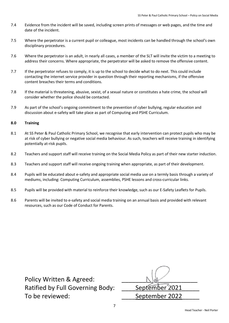- 7.4 Evidence from the incident will be saved, including screen prints of messages or web pages, and the time and date of the incident.
- 7.5 Where the perpetrator is a current pupil or colleague, most incidents can be handled through the school's own disciplinary procedures.
- 7.6 Where the perpetrator is an adult, in nearly all cases, a member of the SLT will invite the victim to a meeting to address their concerns. Where appropriate, the perpetrator will be asked to remove the offensive content.
- 7.7 If the perpetrator refuses to comply, it is up to the school to decide what to do next. This could include contacting the internet service provider in question through their reporting mechanisms, if the offensive content breaches their terms and conditions.
- 7.8 If the material is threatening, abusive, sexist, of a sexual nature or constitutes a hate crime, the school will consider whether the police should be contacted.
- 7.9 As part of the school's ongoing commitment to the prevention of cyber bullying, regular education and discussion about e-safety will take place as part of Computing and PSHE Curriculum.

#### **8.0 Training**

- 8.1 At SS Peter & Paul Catholic Primary School, we recognise that early intervention can protect pupils who may be at risk of cyber bullying or negative social media behaviour. As such, teachers will receive training in identifying potentially at-risk pupils.
- 8.2 Teachers and support staff will receive training on the Social Media Policy as part of their new starter induction.
- 8.3 Teachers and support staff will receive ongoing training when appropriate, as part of their development.
- 8.4 Pupils will be educated about e-safety and appropriate social media use on a termly basis through a variety of mediums, including: Computing Curriculum, assemblies, PSHE lessons and cross-curricular links.
- 8.5 Pupils will be provided with material to reinforce their knowledge, such as our E-Safety Leaflets for Pupils.
- 8.6 Parents will be invited to e-safety and social media training on an annual basis and provided with relevant resources, such as our Code of Conduct for Parents.

Policy Written & Agreed: Ratified by Full Governing Body: To be reviewed:

| September 2021 |
|----------------|
| September 2022 |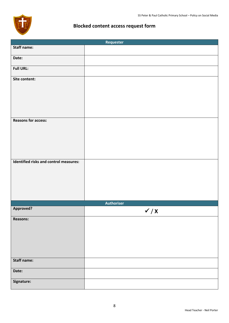

# **Blocked content access request form**

|                                        | Requester         |
|----------------------------------------|-------------------|
| <b>Staff name:</b>                     |                   |
| Date:                                  |                   |
| <b>Full URL:</b>                       |                   |
| Site content:                          |                   |
|                                        |                   |
| <b>Reasons for access:</b>             |                   |
|                                        |                   |
|                                        |                   |
| Identified risks and control measures: |                   |
|                                        |                   |
|                                        |                   |
|                                        |                   |
|                                        | <b>Authoriser</b> |
| Approved?                              | $\checkmark$ / X  |
| <b>Reasons:</b>                        |                   |
|                                        |                   |
|                                        |                   |
| <b>Staff name:</b>                     |                   |
| Date:                                  |                   |
| Signature:                             |                   |